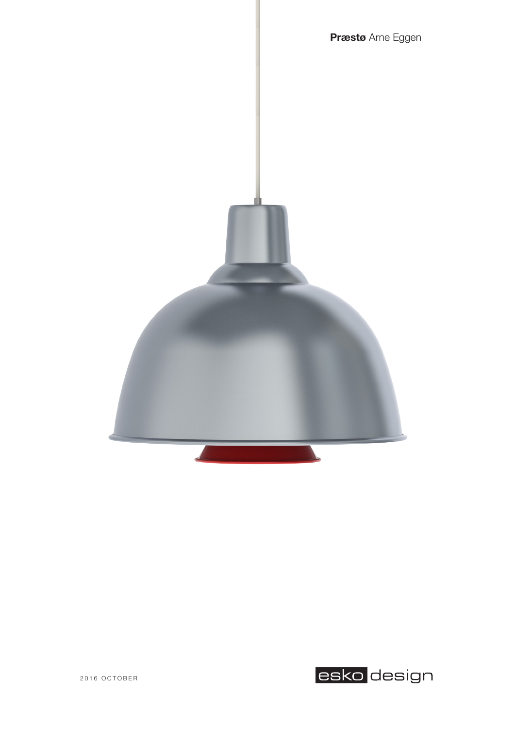